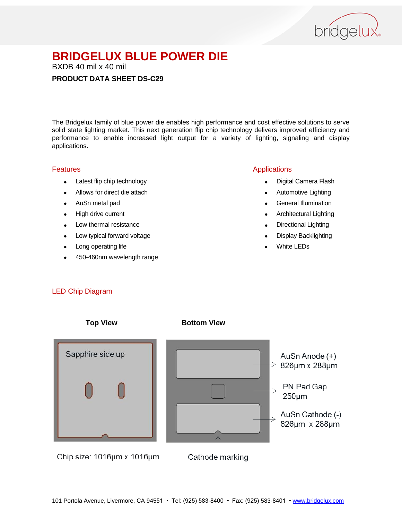

BXDB 40 mil x 40 mil

## **PRODUCT DATA SHEET DS-C29**

The Bridgelux family of blue power die enables high performance and cost effective solutions to serve solid state lighting market. This next generation flip chip technology delivers improved efficiency and performance to enable increased light output for a variety of lighting, signaling and display applications.

#### Features

- Latest flip chip technology
- Allows for direct die attach
- AuSn metal pad
- High drive current
- Low thermal resistance
- Low typical forward voltage
- Long operating life
- 450-460nm wavelength range

## Applications

- Digital Camera Flash
- Automotive Lighting
- **•** General Illumination
- Architectural Lighting
- Directional Lighting
- Display Backlighting
- White LEDs

## LED Chip Diagram

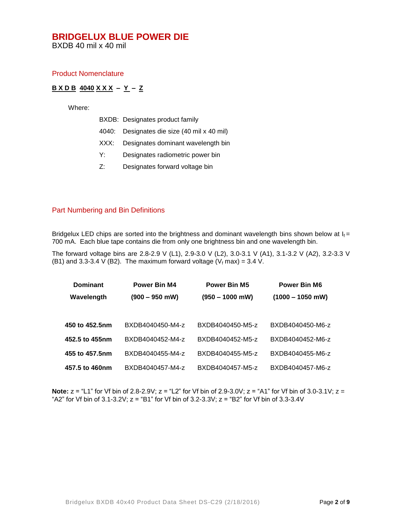BXDB 40 mil x 40 mil

#### Product Nomenclature

## **B X D B 4040 X X X – Y – Z**

Where:

|  |  | BXDB: Designates product family |
|--|--|---------------------------------|
|--|--|---------------------------------|

- 4040: Designates die size (40 mil x 40 mil)
- XXX: Designates dominant wavelength bin
- Y: Designates radiometric power bin
- Z: Designates forward voltage bin

#### Part Numbering and Bin Definitions

Bridgelux LED chips are sorted into the brightness and dominant wavelength bins shown below at  $I_f =$ 700 mA. Each blue tape contains die from only one brightness bin and one wavelength bin.

The forward voltage bins are 2.8-2.9 V (L1), 2.9-3.0 V (L2), 3.0-3.1 V (A1), 3.1-3.2 V (A2), 3.2-3.3 V (B1) and 3.3-3.4 V (B2). The maximum forward voltage ( $V_f$  max) = 3.4 V.

| <b>Dominant</b> | Power Bin M4     | <b>Power Bin M5</b> | <b>Power Bin M6</b> |
|-----------------|------------------|---------------------|---------------------|
| Wavelength      | $(900 - 950$ mW) | $(950 - 1000$ mW)   | $(1000 - 1050$ mW)  |
|                 |                  |                     |                     |
| 450 to 452.5nm  | BXDB4040450-M4-z | BXDB4040450-M5-z    | BXDB4040450-M6-z    |
| 452.5 to 455nm  | BXDB4040452-M4-z | BXDB4040452-M5-z    | BXDB4040452-M6-z    |
| 455 to 457.5nm  | BXDB4040455-M4-z | BXDB4040455-M5-z    | BXDB4040455-M6-z    |
| 457.5 to 460nm  | BXDB4040457-M4-z | BXDB4040457-M5-z    | BXDB4040457-M6-z    |

**Note:**  $z =$  "L1" for Vf bin of 2.8-2.9V;  $z =$  "L2" for Vf bin of 2.9-3.0V;  $z =$  "A1" for Vf bin of 3.0-3.1V;  $z =$ "A2" for Vf bin of  $3.1$ - $3.2V$ ;  $z =$  "B1" for Vf bin of  $3.2$ - $3.3V$ ;  $z =$  "B2" for Vf bin of  $3.3$ - $3.4V$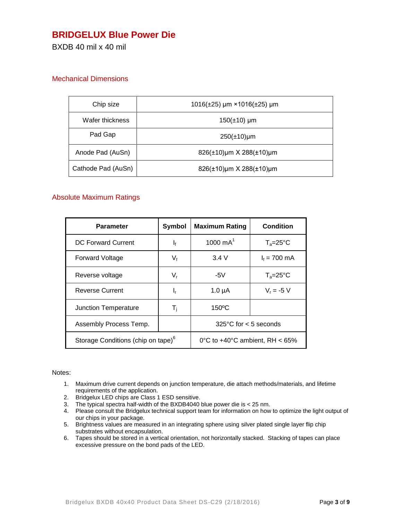## **BRIDGELUX Blue Power Die**

BXDB 40 mil x 40 mil

## Mechanical Dimensions

| Chip size          | $1016(\pm 25)$ µm × 1016( $\pm 25$ ) µm    |
|--------------------|--------------------------------------------|
| Wafer thickness    | $150(\pm 10)$ µm                           |
| Pad Gap            | $250(\pm 10)\mu m$                         |
| Anode Pad (AuSn)   | $826(\pm 10)\mu m \times 288(\pm 10)\mu m$ |
| Cathode Pad (AuSn) | 826(±10)µm X 288(±10)µm                    |

## Absolute Maximum Ratings

| Parameter                                      | Symbol  | <b>Maximum Rating</b>                    | <b>Condition</b>    |
|------------------------------------------------|---------|------------------------------------------|---------------------|
| DC Forward Current                             | $I_{f}$ | 1000 $mA^1$                              | $T_a = 25^{\circ}C$ |
| <b>Forward Voltage</b>                         | $V_f$   | 3.4V                                     | $I_f = 700$ mA      |
| Reverse voltage                                | $V_{r}$ | -5 $V$                                   | $T_a = 25^\circ C$  |
| <b>Reverse Current</b>                         | ı,      | $1.0 \mu A$                              | $V_r = -5 V$        |
| Junction Temperature                           | T,      | $150^{\circ}$ C                          |                     |
| Assembly Process Temp.                         |         | $325^{\circ}$ C for < 5 seconds          |                     |
| Storage Conditions (chip on tape) <sup>o</sup> |         | 0°C to $+40^{\circ}$ C ambient. RH < 65% |                     |

#### Notes:

- 1. Maximum drive current depends on junction temperature, die attach methods/materials, and lifetime requirements of the application.
- 2. Bridgelux LED chips are Class 1 ESD sensitive.
- 3. The typical spectra half-width of the BXDB4040 blue power die is < 25 nm.
- 4. Please consult the Bridgelux technical support team for information on how to optimize the light output of our chips in your package.
- 5. Brightness values are measured in an integrating sphere using silver plated single layer flip chip substrates without encapsulation.
- 6. Tapes should be stored in a vertical orientation, not horizontally stacked. Stacking of tapes can place excessive pressure on the bond pads of the LED.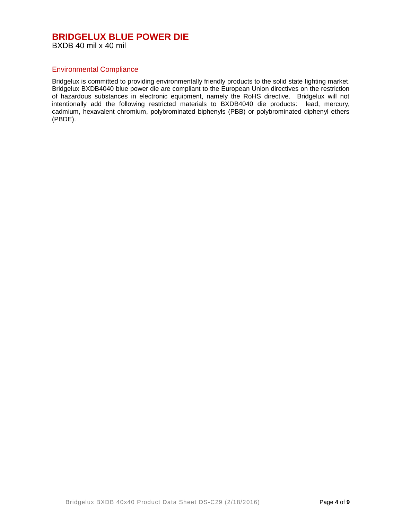## Environmental Compliance

Bridgelux is committed to providing environmentally friendly products to the solid state lighting market. Bridgelux BXDB4040 blue power die are compliant to the European Union directives on the restriction of hazardous substances in electronic equipment, namely the RoHS directive. Bridgelux will not intentionally add the following restricted materials to BXDB4040 die products: lead, mercury, cadmium, hexavalent chromium, polybrominated biphenyls (PBB) or polybrominated diphenyl ethers (PBDE).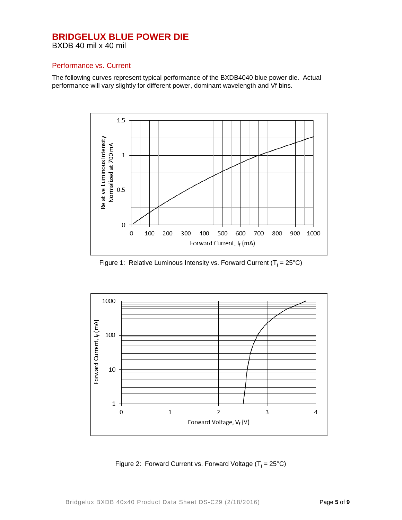## Performance vs. Current

The following curves represent typical performance of the BXDB4040 blue power die. Actual performance will vary slightly for different power, dominant wavelength and Vf bins.



Figure 1: Relative Luminous Intensity vs. Forward Current ( $T_i = 25^{\circ}C$ )



Figure 2: Forward Current vs. Forward Voltage  $(T_i = 25^{\circ}C)$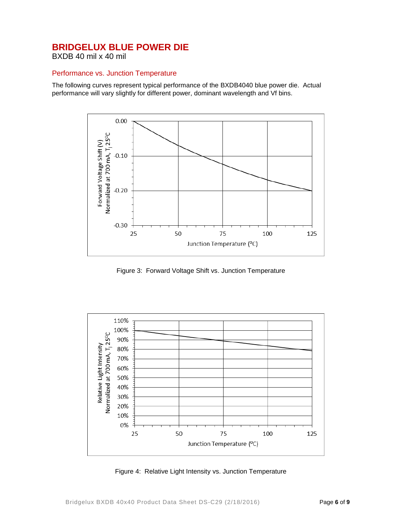BXDB 40 mil x 40 mil

## Performance vs. Junction Temperature

The following curves represent typical performance of the BXDB4040 blue power die. Actual performance will vary slightly for different power, dominant wavelength and Vf bins.



Figure 3: Forward Voltage Shift vs. Junction Temperature



Figure 4: Relative Light Intensity vs. Junction Temperature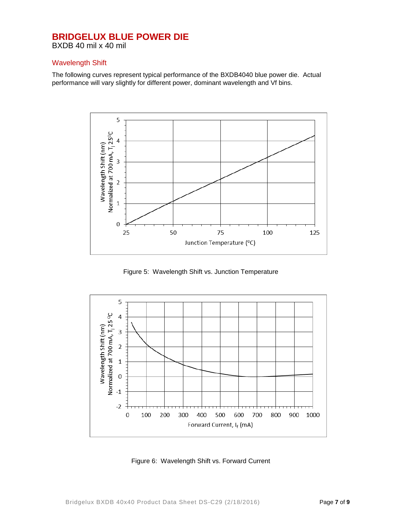BXDB 40 mil x 40 mil

#### Wavelength Shift

The following curves represent typical performance of the BXDB4040 blue power die. Actual performance will vary slightly for different power, dominant wavelength and Vf bins.



Figure 5: Wavelength Shift vs. Junction Temperature



Figure 6: Wavelength Shift vs. Forward Current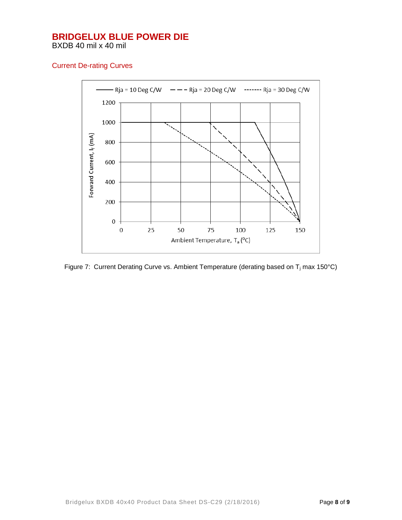Current De-rating Curves



Figure 7: Current Derating Curve vs. Ambient Temperature (derating based on T<sub>i</sub> max 150°C)